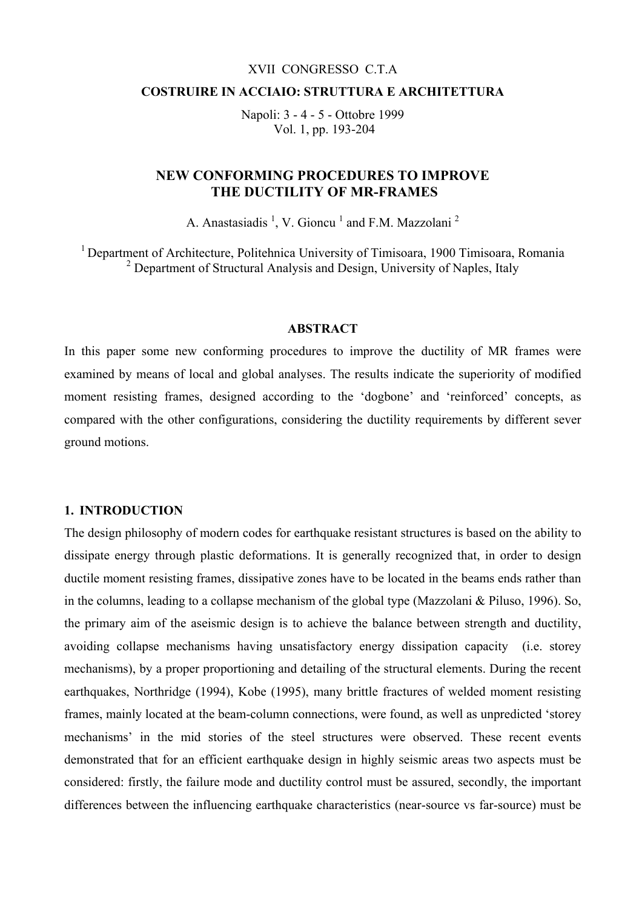#### XVII CONGRESSO C.T.A

#### **COSTRUIRE IN ACCIAIO: STRUTTURA E ARCHITETTURA**

Napoli: 3 - 4 - 5 - Ottobre 1999 Vol. 1, pp. 193-204

## **NEW CONFORMING PROCEDURES TO IMPROVE THE DUCTILITY OF MR-FRAMES**

A. Anastasiadis  $<sup>1</sup>$ , V. Gioncu  $<sup>1</sup>$  and F.M. Mazzolani<sup>2</sup></sup></sup>

<sup>1</sup> Department of Architecture, Politehnica University of Timisoara, 1900 Timisoara, Romania <sup>2</sup> Department of Structural Analysis and Design, University of Naples, Italy

#### **ABSTRACT**

In this paper some new conforming procedures to improve the ductility of MR frames were examined by means of local and global analyses. The results indicate the superiority of modified moment resisting frames, designed according to the 'dogbone' and 'reinforced' concepts, as compared with the other configurations, considering the ductility requirements by different sever ground motions.

### **1. INTRODUCTION**

The design philosophy of modern codes for earthquake resistant structures is based on the ability to dissipate energy through plastic deformations. It is generally recognized that, in order to design ductile moment resisting frames, dissipative zones have to be located in the beams ends rather than in the columns, leading to a collapse mechanism of the global type (Mazzolani & Piluso, 1996). So, the primary aim of the aseismic design is to achieve the balance between strength and ductility, avoiding collapse mechanisms having unsatisfactory energy dissipation capacity (i.e. storey mechanisms), by a proper proportioning and detailing of the structural elements. During the recent earthquakes, Northridge (1994), Kobe (1995), many brittle fractures of welded moment resisting frames, mainly located at the beam-column connections, were found, as well as unpredicted 'storey mechanisms' in the mid stories of the steel structures were observed. These recent events demonstrated that for an efficient earthquake design in highly seismic areas two aspects must be considered: firstly, the failure mode and ductility control must be assured, secondly, the important differences between the influencing earthquake characteristics (near-source vs far-source) must be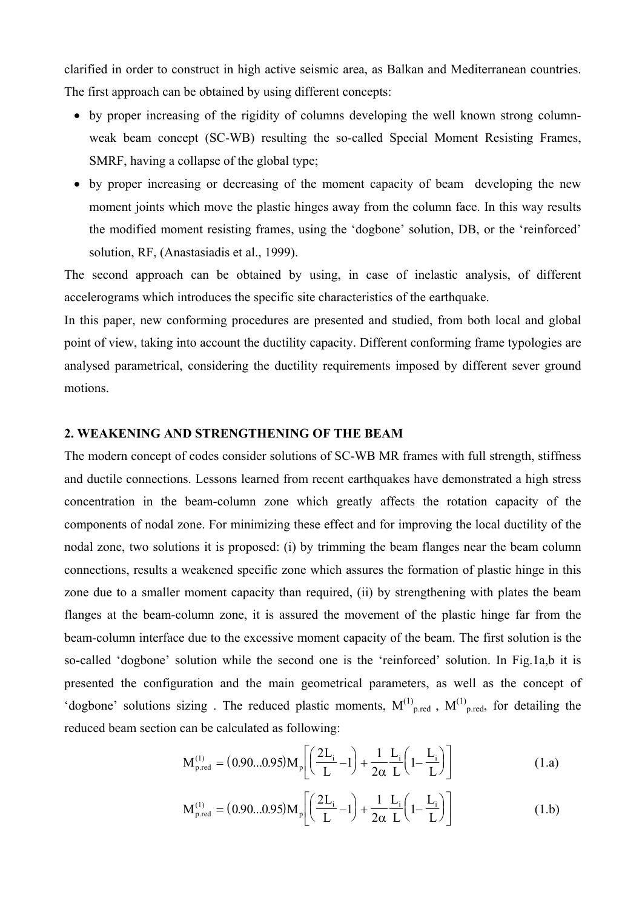clarified in order to construct in high active seismic area, as Balkan and Mediterranean countries. The first approach can be obtained by using different concepts:

- by proper increasing of the rigidity of columns developing the well known strong columnweak beam concept (SC-WB) resulting the so-called Special Moment Resisting Frames, SMRF, having a collapse of the global type;
- by proper increasing or decreasing of the moment capacity of beam developing the new moment joints which move the plastic hinges away from the column face. In this way results the modified moment resisting frames, using the 'dogbone' solution, DB, or the 'reinforced' solution, RF, (Anastasiadis et al., 1999).

The second approach can be obtained by using, in case of inelastic analysis, of different accelerograms which introduces the specific site characteristics of the earthquake.

In this paper, new conforming procedures are presented and studied, from both local and global point of view, taking into account the ductility capacity. Different conforming frame typologies are analysed parametrical, considering the ductility requirements imposed by different sever ground motions.

### **2. WEAKENING AND STRENGTHENING OF THE BEAM**

The modern concept of codes consider solutions of SC-WB MR frames with full strength, stiffness and ductile connections. Lessons learned from recent earthquakes have demonstrated a high stress concentration in the beam-column zone which greatly affects the rotation capacity of the components of nodal zone. For minimizing these effect and for improving the local ductility of the nodal zone, two solutions it is proposed: (i) by trimming the beam flanges near the beam column connections, results a weakened specific zone which assures the formation of plastic hinge in this zone due to a smaller moment capacity than required, (ii) by strengthening with plates the beam flanges at the beam-column zone, it is assured the movement of the plastic hinge far from the beam-column interface due to the excessive moment capacity of the beam. The first solution is the so-called 'dogbone' solution while the second one is the 'reinforced' solution. In Fig.1a,b it is presented the configuration and the main geometrical parameters, as well as the concept of 'dogbone' solutions sizing. The reduced plastic moments,  $M^{(1)}_{\text{p. red}}$ ,  $M^{(1)}_{\text{p. red}}$ , for detailing the reduced beam section can be calculated as following:

$$
M_{p,\text{red}}^{(1)} = (0.90...0.95) M_p \left[ \left( \frac{2L_i}{L} - 1 \right) + \frac{1}{2\alpha} \frac{L_i}{L} \left( 1 - \frac{L_i}{L} \right) \right]
$$
(1.a)

$$
M_{p,\text{red}}^{(1)} = (0.90...0.95) M_p \left[ \left( \frac{2L_i}{L} - 1 \right) + \frac{1}{2\alpha} \frac{L_i}{L} \left( 1 - \frac{L_i}{L} \right) \right]
$$
(1.b)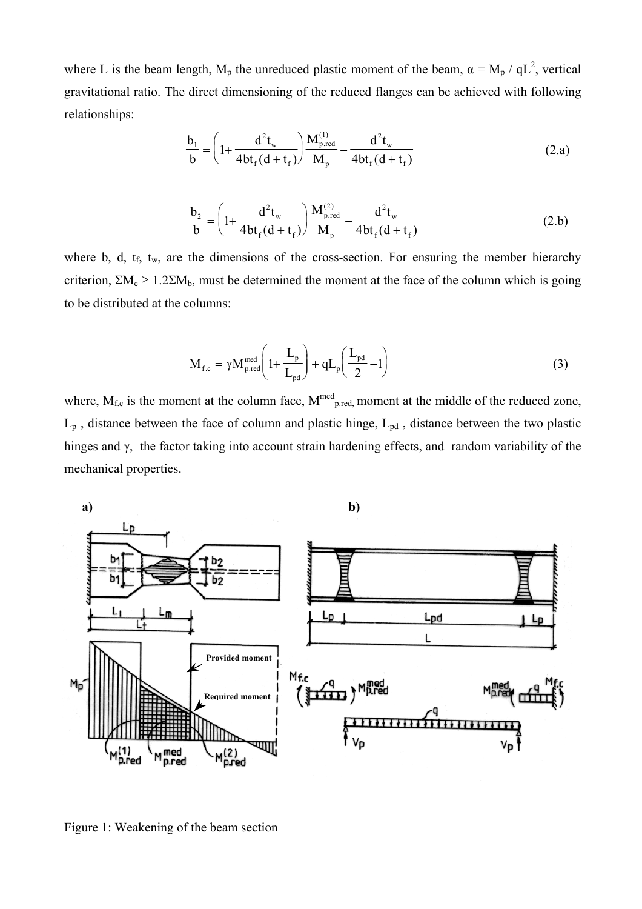where L is the beam length,  $M_p$  the unreduced plastic moment of the beam,  $\alpha = M_p / qL^2$ , vertical gravitational ratio. The direct dimensioning of the reduced flanges can be achieved with following relationships:

$$
\frac{b_1}{b} = \left(1 + \frac{d^2 t_w}{4bt_f(d + t_f)}\right) \frac{M_{p,red}^{(1)}}{M_p} - \frac{d^2 t_w}{4bt_f(d + t_f)}
$$
(2.a)

$$
\frac{b_2}{b} = \left(1 + \frac{d^2 t_w}{4b t_f (d + t_f)}\right) \frac{M_{p,red}^{(2)}}{M_p} - \frac{d^2 t_w}{4b t_f (d + t_f)}
$$
(2.b)

where b, d,  $t_f$ ,  $t_w$ , are the dimensions of the cross-section. For ensuring the member hierarchy criterion,  $\Sigma M_c \ge 1.2\Sigma M_b$ , must be determined the moment at the face of the column which is going to be distributed at the columns:

$$
\mathbf{M}_{\text{f.c}} = \gamma \mathbf{M}_{\text{p.read}}^{\text{med}} \left( 1 + \frac{\mathbf{L}_{\text{p}}}{\mathbf{L}_{\text{pd}}} \right) + \mathbf{q} \mathbf{L}_{\text{p}} \left( \frac{\mathbf{L}_{\text{pd}}}{2} - 1 \right) \tag{3}
$$

where,  $M_{f.c}$  is the moment at the column face,  $M^{med}$ <sub>p.red,</sub> moment at the middle of the reduced zone,  $L_p$ , distance between the face of column and plastic hinge,  $L_{pd}$ , distance between the two plastic hinges and γ, the factor taking into account strain hardening effects, and random variability of the mechanical properties.



Figure 1: Weakening of the beam section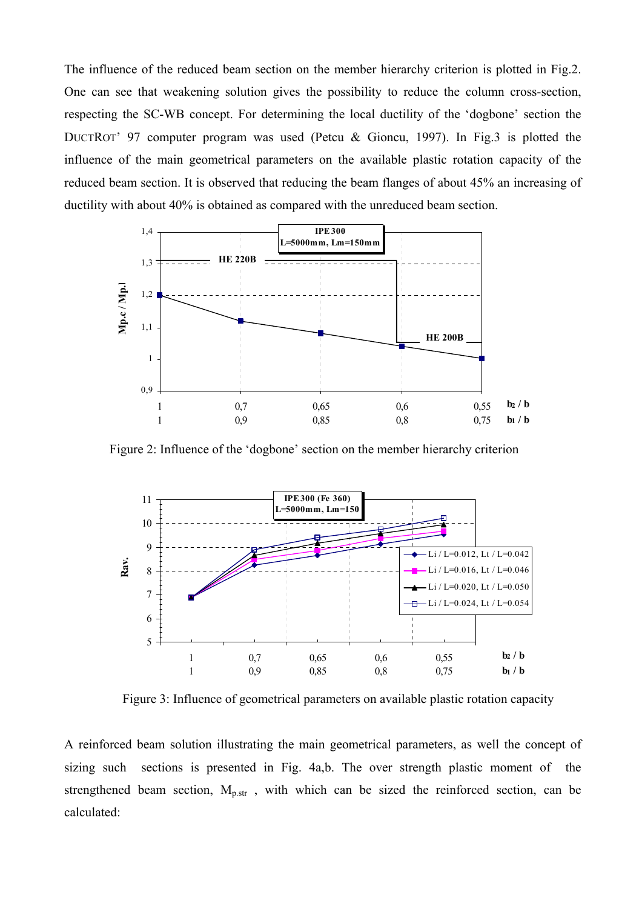The influence of the reduced beam section on the member hierarchy criterion is plotted in Fig.2. One can see that weakening solution gives the possibility to reduce the column cross-section, respecting the SC-WB concept. For determining the local ductility of the 'dogbone' section the DUCTROT' 97 computer program was used (Petcu & Gioncu, 1997). In Fig.3 is plotted the influence of the main geometrical parameters on the available plastic rotation capacity of the reduced beam section. It is observed that reducing the beam flanges of about 45% an increasing of ductility with about 40% is obtained as compared with the unreduced beam section.



Figure 2: Influence of the 'dogbone' section on the member hierarchy criterion

![](_page_3_Figure_3.jpeg)

Figure 3: Influence of geometrical parameters on available plastic rotation capacity

A reinforced beam solution illustrating the main geometrical parameters, as well the concept of sizing such sections is presented in Fig. 4a,b. The over strength plastic moment of the strengthened beam section,  $M_{p,str}$ , with which can be sized the reinforced section, can be calculated: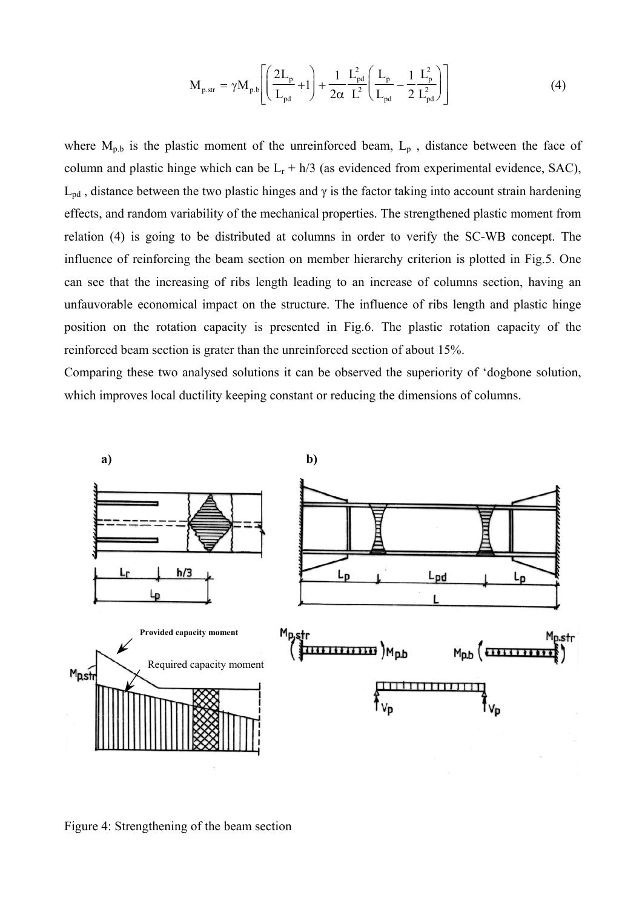$$
M_{p.str} = \gamma M_{p.b} \left[ \left( \frac{2L_p}{L_{pd}} + 1 \right) + \frac{1}{2\alpha} \frac{L_{pd}^2}{L^2} \left( \frac{L_p}{L_{pd}} - \frac{1}{2} \frac{L_p^2}{L_{pd}^2} \right) \right]
$$
(4)

where  $M_{p,b}$  is the plastic moment of the unreinforced beam,  $L_p$ , distance between the face of column and plastic hinge which can be  $L_r + h/3$  (as evidenced from experimental evidence, SAC),  $L_{pd}$ , distance between the two plastic hinges and  $\gamma$  is the factor taking into account strain hardening effects, and random variability of the mechanical properties. The strengthened plastic moment from relation (4) is going to be distributed at columns in order to verify the SC-WB concept. The influence of reinforcing the beam section on member hierarchy criterion is plotted in Fig.5. One can see that the increasing of ribs length leading to an increase of columns section, having an unfauvorable economical impact on the structure. The influence of ribs length and plastic hinge position on the rotation capacity is presented in Fig.6. The plastic rotation capacity of the reinforced beam section is grater than the unreinforced section of about 15%.

Comparing these two analysed solutions it can be observed the superiority of 'dogbone solution, which improves local ductility keeping constant or reducing the dimensions of columns.

![](_page_4_Figure_3.jpeg)

Figure 4: Strengthening of the beam section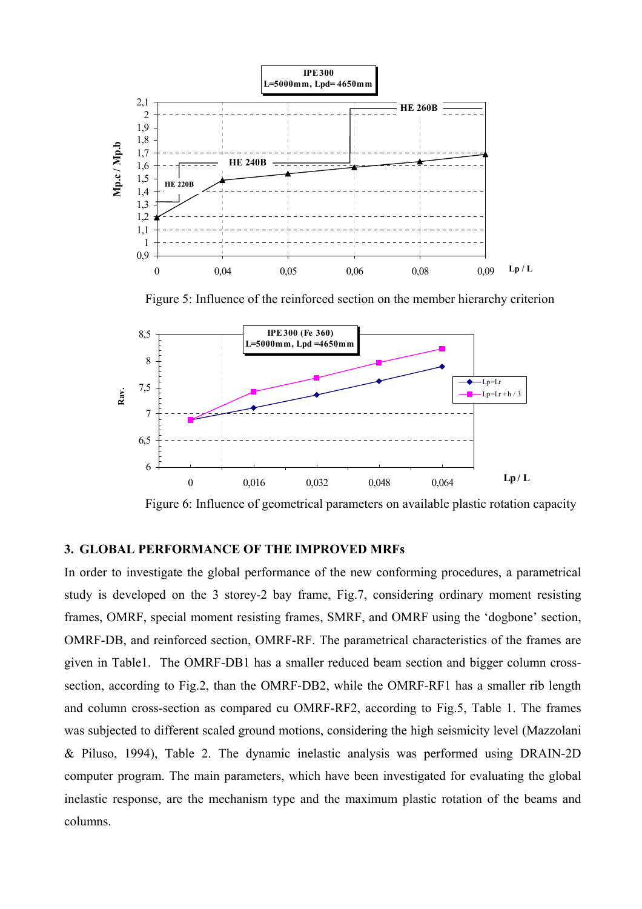![](_page_5_Figure_0.jpeg)

Figure 5: Influence of the reinforced section on the member hierarchy criterion

![](_page_5_Figure_2.jpeg)

Figure 6: Influence of geometrical parameters on available plastic rotation capacity

# **3. GLOBAL PERFORMANCE OF THE IMPROVED MRFs**

In order to investigate the global performance of the new conforming procedures, a parametrical study is developed on the 3 storey-2 bay frame, Fig.7, considering ordinary moment resisting frames, OMRF, special moment resisting frames, SMRF, and OMRF using the 'dogbone' section, OMRF-DB, and reinforced section, OMRF-RF. The parametrical characteristics of the frames are given in Table1. The OMRF-DB1 has a smaller reduced beam section and bigger column crosssection, according to Fig.2, than the OMRF-DB2, while the OMRF-RF1 has a smaller rib length and column cross-section as compared cu OMRF-RF2, according to Fig.5, Table 1. The frames was subjected to different scaled ground motions, considering the high seismicity level (Mazzolani & Piluso, 1994), Table 2. The dynamic inelastic analysis was performed using DRAIN-2D computer program. The main parameters, which have been investigated for evaluating the global inelastic response, are the mechanism type and the maximum plastic rotation of the beams and columns.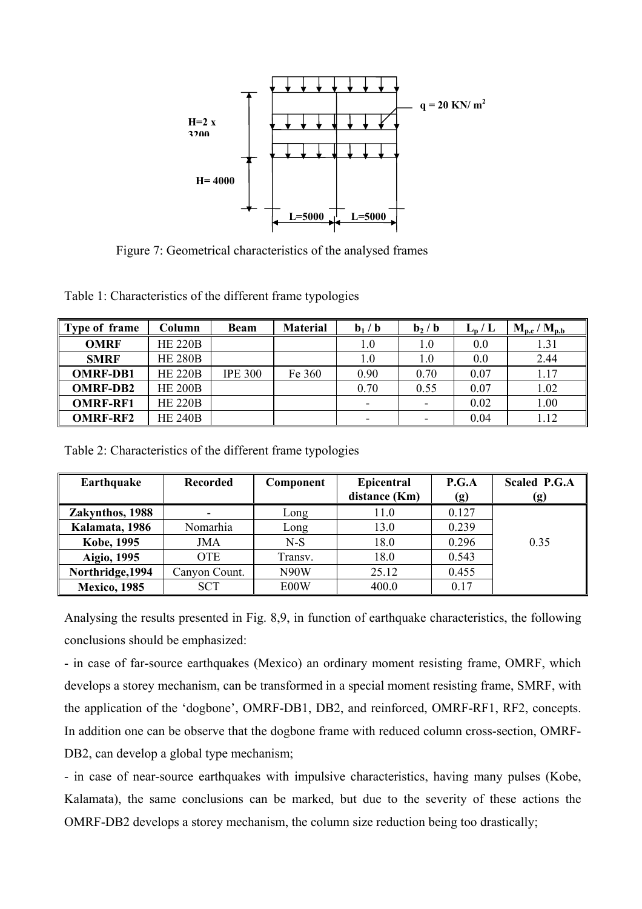![](_page_6_Figure_0.jpeg)

Figure 7: Geometrical characteristics of the analysed frames

Table 1: Characteristics of the different frame typologies

| Type of frame   | Column         | <b>Beam</b>    | <b>Material</b> | $\mathbf{b}_1 / \mathbf{b}$ | $\mathbf{b}_2$ / $\mathbf{b}$ | $L_p/L$ | $M_{p.c} / M_{p.b}$ |
|-----------------|----------------|----------------|-----------------|-----------------------------|-------------------------------|---------|---------------------|
| <b>OMRF</b>     | <b>HE 220B</b> |                |                 | $1.0\,$                     | 1.0                           | 0.0     | 1.31                |
| <b>SMRF</b>     | <b>HE 280B</b> |                |                 | 1.0                         | $1.0\,$                       | 0.0     | 2.44                |
| <b>OMRF-DB1</b> | <b>HE 220B</b> | <b>IPE 300</b> | Fe 360          | 0.90                        | 0.70                          | 0.07    | 1.17                |
| <b>OMRF-DB2</b> | <b>HE 200B</b> |                |                 | 0.70                        | 0.55                          | 0.07    | 1.02                |
| <b>OMRF-RF1</b> | <b>HE 220B</b> |                |                 |                             |                               | 0.02    | 1.00                |
| <b>OMRF-RF2</b> | <b>HE 240B</b> |                |                 | $\overline{\phantom{0}}$    |                               | 0.04    | 1.12                |

Table 2: Characteristics of the different frame typologies

| Earthquake          | <b>Recorded</b> | Component | <b>Epicentral</b> | P.G.A           | <b>Scaled P.G.A</b> |
|---------------------|-----------------|-----------|-------------------|-----------------|---------------------|
|                     |                 |           | distance (Km)     | (g)             | <u>(g)</u>          |
| Zakynthos, 1988     |                 | Long      | 11.0              | 0.127           |                     |
| Kalamata, 1986      | Nomarhia        | Long      | 13.0              | 0.239           |                     |
| <b>Kobe, 1995</b>   | JMA             | $N-S$     | 18.0              | 0.296           | 0.35                |
| Aigio, 1995         | <b>OTE</b>      | Transv.   | 18.0              | 0.543           |                     |
| Northridge, 1994    | Canyon Count.   | N90W      | 25.12             | 0.455           |                     |
| <b>Mexico, 1985</b> | <b>SCT</b>      | E00W      | 400.0             | 0 <sub>17</sub> |                     |

Analysing the results presented in Fig. 8,9, in function of earthquake characteristics, the following conclusions should be emphasized:

- in case of far-source earthquakes (Mexico) an ordinary moment resisting frame, OMRF, which develops a storey mechanism, can be transformed in a special moment resisting frame, SMRF, with the application of the 'dogbone', OMRF-DB1, DB2, and reinforced, OMRF-RF1, RF2, concepts. In addition one can be observe that the dogbone frame with reduced column cross-section, OMRF-DB2, can develop a global type mechanism;

- in case of near-source earthquakes with impulsive characteristics, having many pulses (Kobe, Kalamata), the same conclusions can be marked, but due to the severity of these actions the OMRF-DB2 develops a storey mechanism, the column size reduction being too drastically;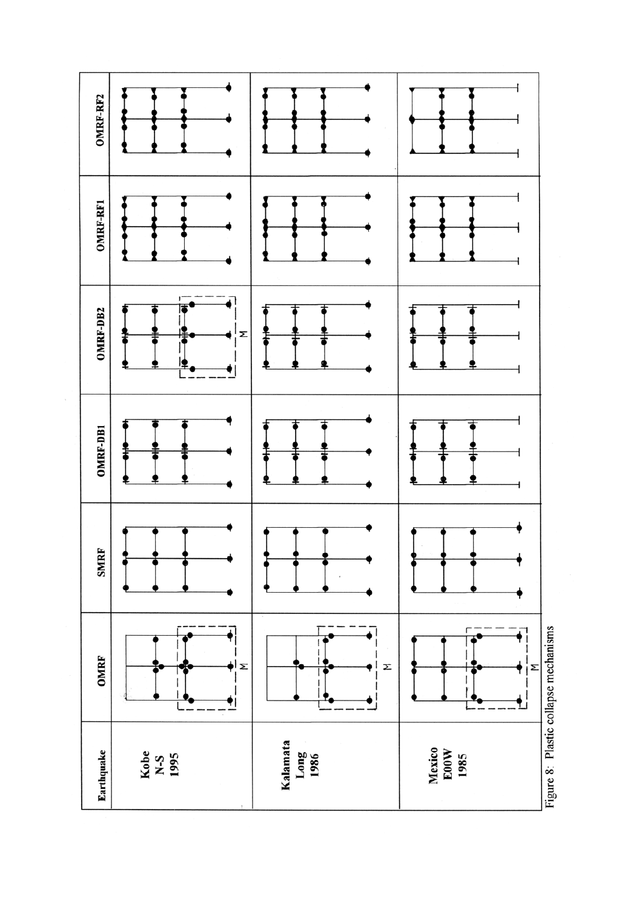![](_page_8_Figure_0.jpeg)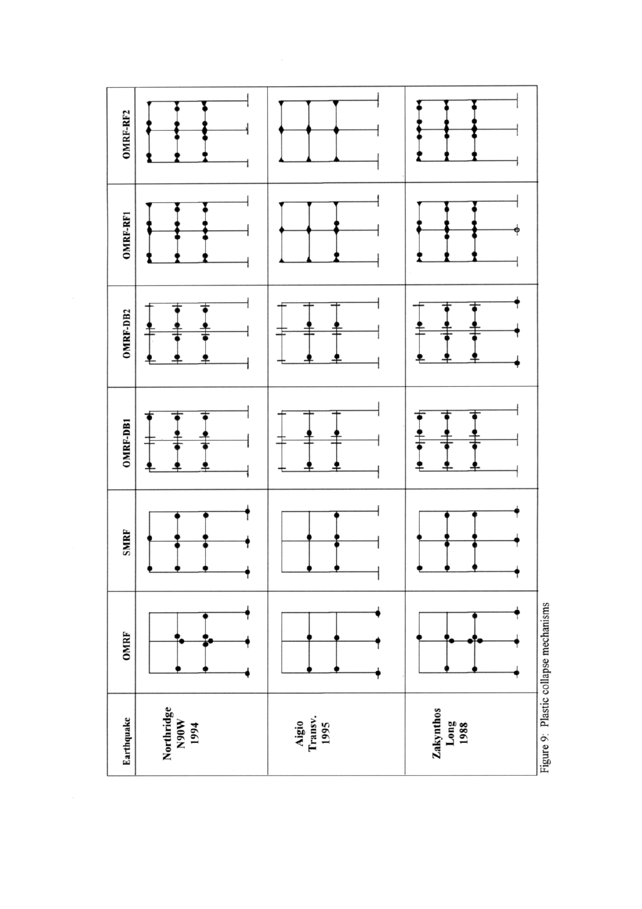![](_page_9_Figure_0.jpeg)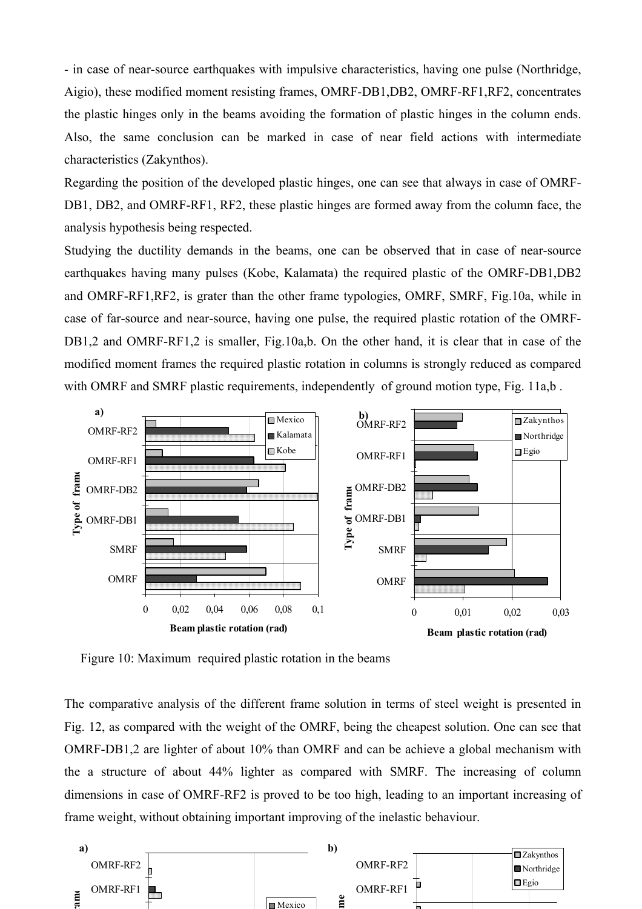- in case of near-source earthquakes with impulsive characteristics, having one pulse (Northridge, Aigio), these modified moment resisting frames, OMRF-DB1,DB2, OMRF-RF1,RF2, concentrates the plastic hinges only in the beams avoiding the formation of plastic hinges in the column ends. Also, the same conclusion can be marked in case of near field actions with intermediate characteristics (Zakynthos).

Regarding the position of the developed plastic hinges, one can see that always in case of OMRF-DB1, DB2, and OMRF-RF1, RF2, these plastic hinges are formed away from the column face, the analysis hypothesis being respected.

Studying the ductility demands in the beams, one can be observed that in case of near-source earthquakes having many pulses (Kobe, Kalamata) the required plastic of the OMRF-DB1,DB2 and OMRF-RF1,RF2, is grater than the other frame typologies, OMRF, SMRF, Fig.10a, while in case of far-source and near-source, having one pulse, the required plastic rotation of the OMRF-DB1,2 and OMRF-RF1,2 is smaller, Fig.10a,b. On the other hand, it is clear that in case of the modified moment frames the required plastic rotation in columns is strongly reduced as compared with OMRF and SMRF plastic requirements, independently of ground motion type, Fig. 11a,b.

![](_page_10_Figure_3.jpeg)

Figure 10: Maximum required plastic rotation in the beams

The comparative analysis of the different frame solution in terms of steel weight is presented in Fig. 12, as compared with the weight of the OMRF, being the cheapest solution. One can see that OMRF-DB1,2 are lighter of about 10% than OMRF and can be achieve a global mechanism with the a structure of about 44% lighter as compared with SMRF. The increasing of column dimensions in case of OMRF-RF2 is proved to be too high, leading to an important increasing of frame weight, without obtaining important improving of the inelastic behaviour.

![](_page_10_Figure_6.jpeg)